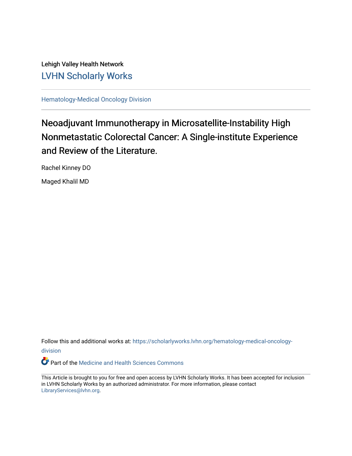Lehigh Valley Health Network [LVHN Scholarly Works](https://scholarlyworks.lvhn.org/)

[Hematology-Medical Oncology Division](https://scholarlyworks.lvhn.org/hematology-medical-oncology-division)

## Neoadjuvant Immunotherapy in Microsatellite-Instability High Nonmetastatic Colorectal Cancer: A Single-institute Experience and Review of the Literature.

Rachel Kinney DO

Maged Khalil MD

Follow this and additional works at: [https://scholarlyworks.lvhn.org/hematology-medical-oncology](https://scholarlyworks.lvhn.org/hematology-medical-oncology-division?utm_source=scholarlyworks.lvhn.org%2Fhematology-medical-oncology-division%2F17&utm_medium=PDF&utm_campaign=PDFCoverPages)[division](https://scholarlyworks.lvhn.org/hematology-medical-oncology-division?utm_source=scholarlyworks.lvhn.org%2Fhematology-medical-oncology-division%2F17&utm_medium=PDF&utm_campaign=PDFCoverPages)

Part of the [Medicine and Health Sciences Commons](http://network.bepress.com/hgg/discipline/648?utm_source=scholarlyworks.lvhn.org%2Fhematology-medical-oncology-division%2F17&utm_medium=PDF&utm_campaign=PDFCoverPages) 

This Article is brought to you for free and open access by LVHN Scholarly Works. It has been accepted for inclusion in LVHN Scholarly Works by an authorized administrator. For more information, please contact [LibraryServices@lvhn.org](mailto:LibraryServices@lvhn.org).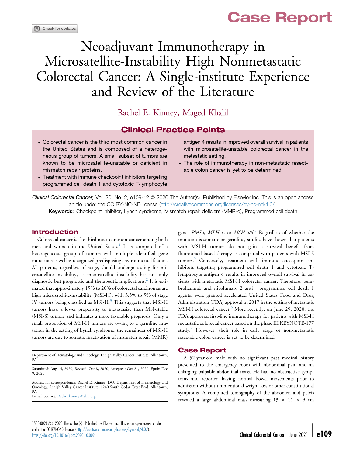# Case Report

# Neoadjuvant Immunotherapy in Microsatellite-Instability High Nonmetastatic Colorectal Cancer: A Single-institute Experience and Review of the Literature

Rachel E. Kinney, Maged Khalil

### Clinical Practice Points

- Colorectal cancer is the third most common cancer in the United States and is composed of a heterogeneous group of tumors. A small subset of tumors are known to be microsatellite-unstable or deficient in mismatch repair proteins.
- Treatment with immune checkpoint inhibitors targeting programmed cell death 1 and cytotoxic T-lymphocyte

antigen 4 results in improved overall survival in patients with microsatellite-unstable colorectal cancer in the metastatic setting.

 The role of immunotherapy in non-metastatic resectable colon cancer is yet to be determined.

 $Clinical Colorectal Cancer$ , Vol. 20, No. 2, e109-12  $\odot$  2020 The Author(s). Published by Elsevier Inc. This is an open access article under the CC BY-NC-ND license (<http://creativecommons.org/licenses/by-nc-nd/4.0/>).

Keywords: Checkpoint inhibitor, Lynch syndrome, Mismatch repair deficient (MMR-d), Programmed cell death

#### Introduction

Colorectal cancer is the third most common cancer among both men and women in the United States.<sup>[1](#page-3-0)</sup> It is composed of a heterogeneous group of tumors with multiple identified gene mutations as well as recognized predisposing environmental factors. All patients, regardless of stage, should undergo testing for microsatellite instability, as microsatellite instability has not only diagnostic but prognostic and therapeutic implications.<sup>[2](#page-4-0)</sup> It is estimated that approximately 15% to 20% of colorectal carcinomas are high microsatellite-instability (MSI-H), with 3.5% to 5% of stage IV tumors being classified as MSI-H. $3$  This suggests that MSI-H tumors have a lower propensity to metastasize than MSI-stable (MSI-S) tumors and indicates a more favorable prognosis. Only a small proportion of MSI-H tumors are owing to a germline mutation in the setting of Lynch syndrome; the remainder of MSI-H tumors are due to somatic inactivation of mismatch repair (MMR)

Department of Hematology and Oncology, Lehigh Valley Cancer Institute, Allentown, PA

Submitted: Aug 14, 2020; Revised: Oct 8, 2020; Accepted: Oct 21, 2020; Epub: Dec 9, 2020

Address for correspondence: Rachel E. Kinney, DO, Department of Hematology and Oncology, Lehigh Valley Cancer Institute, 1240 South Cedar Crest Blvd, Allentown, PA

E-mail contact: [Rachel.kinney@lvhn.org](mailto:Rachel.kinney@lvhn.org)

1533-0028/ $\circ$  2020 The Author(s). Published by Elsevier Inc. This is an open access article under the CC BY-NC-ND license [\(http://creativecommons.org/licenses/by-nc-nd/4.0/\)](http://creativecommons.org/licenses/by-nc-nd/4.0/). https://doi.org/10.1016/j.dcc.2020.10.002 Clinical Colorectal Cancer June 2021 - e109

genes *PMS2, MLH-1,* or *MSH-2/6.<sup>[4](#page-4-2)</sup>* Regardless of whether the mutation is somatic or germline, studies have shown that patients with MSI-H tumors do not gain a survival benefit from fluorouracil-based therapy as compared with patients with MSI-S tumors.<sup>[5](#page-4-3)</sup> Conversely, treatment with immune checkpoint inhibitors targeting programmed cell death 1 and cytotoxic Tlymphocyte antigen 4 results in improved overall survival in patients with metastatic MSI-H colorectal cancer. Therefore, pembrolizumab and nivolumab, 2 anti- programmed cell death 1 agents, were granted accelerated United States Food and Drug Administration (FDA) approval in 2017 in the setting of metastatic MSI-H colorectal cancer.<sup>[6](#page-4-4)</sup> More recently, on June 29, 2020, the FDA approved first-line immunotherapy for patients with MSI-H metastatic colorectal cancer based on the phase III KEYNOTE-177 study.<sup>[7](#page-4-5)</sup> However, their role in early stage or non-metastatic resectable colon cancer is yet to be determined.

#### Case Report

A 52-year-old male with no significant past medical history presented to the emergency room with abdominal pain and an enlarging palpable abdominal mass. He had no obstructive symptoms and reported having normal bowel movements prior to admission without unintentional weight loss or other constitutional symptoms. A computed tomography of the abdomen and pelvis revealed a large abdominal mass measuring  $13 \times 11 \times 9$  cm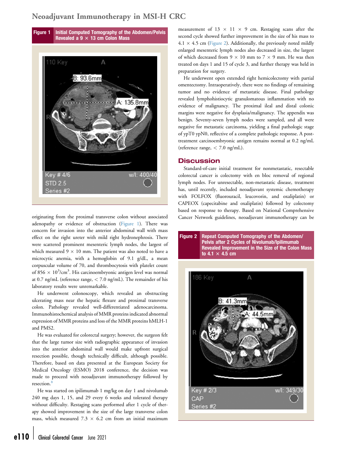## <span id="page-2-0"></span>Neoadjuvant Immunotherapy in MSI-H CRC



originating from the proximal transverse colon without associated adenopathy or evidence of obstruction [\(Figure 1](#page-2-0)). There was concern for invasion into the anterior abdominal wall with mass effect on the right ureter with mild right hydronephrosis. There were scattered prominent mesenteric lymph nodes, the largest of which measured  $9 \times 10$  mm. The patient was also noted to have a microcytic anemia, with a hemoglobin of 9.1 g/dL, a mean corpuscular volume of 70, and thrombocytosis with platelet count of 856  $\times$  10<sup>3</sup>/cm<sup>3</sup>. His carcinoembryonic antigen level was normal at 0.7 ng/mL (reference range,  $<$  7.0 ng/mL). The remainder of his laboratory results were unremarkable.

He underwent colonoscopy, which revealed an obstructing ulcerating mass near the hepatic flexure and proximal transverse colon. Pathology revealed well-differentiated adenocarcinoma. Immunohistochemical analysis of MMR proteins indicated abnormal expression of MMR proteins and loss of the MMR proteins hMLH-1 and PMS2.

He was evaluated for colorectal surgery; however, the surgeon felt that the large tumor size with radiographic appearance of invasion into the anterior abdominal wall would make upfront surgical resection possible, though technically difficult, although possible. Therefore, based on data presented at the European Society for Medical Oncology (ESMO) 2018 conference, the decision was made to proceed with neoadjuvant immunotherapy followed by resection.

He was started on ipilimumab 1 mg/kg on day 1 and nivolumab 240 mg days 1, 15, and 29 every 6 weeks and tolerated therapy without difficulty. Restaging scans performed after 1 cycle of therapy showed improvement in the size of the large transverse colon mass, which measured  $7.3 \times 6.2$  cm from an initial maximum

measurement of  $13 \times 11 \times 9$  cm. Restaging scans after the second cycle showed further improvement in the size of his mass to  $4.1 \times 4.5$  cm [\(Figure 2\)](#page-2-1). Additionally, the previously noted mildly enlarged mesenteric lymph nodes also decreased in size, the largest of which decreased from  $9 \times 10$  mm to  $7 \times 9$  mm. He was then treated on days 1 and 15 of cycle 3, and further therapy was held in preparation for surgery.

He underwent open extended right hemicolectomy with partial omentectomy. Intraoperatively, there were no findings of remaining tumor and no evidence of metastatic disease. Final pathology revealed lymphohistiocytic granulomatous inflammation with no evidence of malignancy. The proximal ileal and distal colonic margins were negative for dysplasia/malignancy. The appendix was benign. Seventy-seven lymph nodes were sampled, and all were negative for metastatic carcinoma, yielding a final pathologic stage of ypT0 ypN0, reflective of a complete pathologic response. A posttreatment carcinoembryonic antigen remains normal at 0.2 ng/mL (reference range, < 7.0 ng/mL).

#### **Discussion**

Standard-of-care initial treatment for nonmetastatic, resectable colorectal cancer is colectomy with en bloc removal of regional lymph nodes. For unresectable, non-metastatic disease, treatment has, until recently, included neoadjuvant systemic chemotherapy with FOLFOX (fluorouracil, leucovorin, and oxaliplatin) or CAPEOX (capecitabine and oxaliplatin) followed by colectomy based on response to therapy. Based on National Comprehensive Cancer Network guidelines, neoadjuvant immunotherapy can be

<span id="page-2-1"></span>

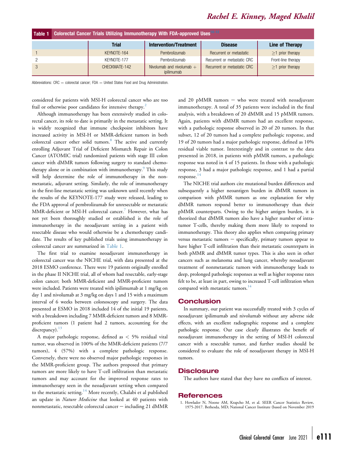## Rachel E. Kinney, Maged Khalil

<span id="page-3-1"></span>

| Table 1 Colorectal Cancer Trials Utilizing Immunotherapy With FDA-approved Uses <sup>10-12</sup> |               |                                           |                             |                    |
|--------------------------------------------------------------------------------------------------|---------------|-------------------------------------------|-----------------------------|--------------------|
|                                                                                                  | <b>Trial</b>  | <b>Intervention/Treatment</b>             | <b>Disease</b>              | Line of Therapy    |
|                                                                                                  | KEYNOTE-164   | Pembrolizumab                             | Recurrent or metastatic     | $>1$ prior therapy |
|                                                                                                  | KEYNOTE-177   | Pembrolizumab                             | Recurrent or metastatic CRC | Front-line therapy |
|                                                                                                  | CHECKMATE-142 | Nivolumab and nivolumab $+$<br>ipilimumab | Recurrent or metastatic CRC | $>1$ prior therapy |

Abbreviations:  $CRC =$  colorectal cancer;  $FDA =$  United States Food and Drug Administration.

considered for patients with MSI-H colorectal cancer who are too frail or otherwise poor candidates for intensive therapy.<sup>[2](#page-4-0)</sup>

Although immunotherapy has been extensively studied in colorectal cancer, its role to date is primarily in the metastatic setting. It is widely recognized that immune checkpoint inhibitors have increased activity in MSI-H or MMR-deficient tumors in both colorectal cancer other solid tumors.<sup>[8](#page-4-6)</sup> The active and currently enrolling Adjuvant Trial of Deficient Mismatch Repair in Colon Cancer (ATOMIC trial) randomized patients with stage III colon cancer with dMMR tumors following surgery to standard chemotherapy alone or in combination with immunotherapy.<sup>9</sup> This study will help determine the role of immunotherapy in the nonmetastatic, adjuvant setting. Similarly, the role of immunotherapy in the first-line metastatic setting was unknown until recently when the results of the KEYNOTE-177 study were released, leading to the FDA approval of pembrolizumab for unresectable or metastatic MMR-deficient or MSI-H colorectal cancer.<sup>[7](#page-4-5)</sup> However, what has not yet been thoroughly studied or established is the role of immunotherapy in the neoadjuvant setting in a patient with resectable disease who would otherwise be a chemotherapy candidate. The results of key published trials using immunotherapy in colorectal cancer are summarized in [Table 1.](#page-3-1)

The first trial to examine neoadjuvant immunotherapy in colorectal cancer was the NICHE trial, with data presented at the 2018 ESMO conference. There were 19 patients originally enrolled in the phase II NICHE trial, all of whom had resectable, early-stage colon cancer; both MMR-deficient and MMR-proficient tumors were included. Patients were treated with ipilimumab at 1 mg/kg on day 1 and nivolumab at 3 mg/kg on days 1 and 15 with a maximum interval of 6 weeks between colonoscopy and surgery. The data presented at ESMO in 2018 included 14 of the initial 19 patients, with a breakdown including 7 MMR-deficient tumors and 8 MMRproficient tumors (1 patient had 2 tumors, accounting for the discrepancy).  $13$ 

A major pathologic response, defined as < 5% residual vital tumor, was observed in 100% of the MMR-deficient patients (7/7 tumors), 4 (57%) with a complete pathologic response. Conversely, there were no observed major pathologic responses in the MMR-proficient group. The authors proposed that primary tumors are more likely to have T-cell infiltration than metastatic tumors and may account for the improved response rates to immunotherapy seen in the neoadjuvant setting when compared to the metastatic setting.<sup>[14](#page-4-9)</sup> More recently, Chalabi et al published an update in Nature Medicine that looked at 40 patients with nonmetastatic, resectable colorectal cancer - including 21 dMMR

and 20 pMMR tumors  $-$  who were treated with neoadjuvant immunotherapy. A total of 35 patients were included in the final analysis, with a breakdown of 20 dMMR and 15 pMMR tumors. Again, patients with dMMR tumors had an excellent response, with a pathologic response observed in 20 of 20 tumors. In that subset, 12 of 20 tumors had a complete pathologic response, and 19 of 20 tumors had a major pathologic response, defined as 10% residual viable tumor. Interestingly and in contrast to the data presented in 2018, in patients with pMMR tumors, a pathologic response was noted in 4 of 15 patients. In those with a pathologic response, 3 had a major pathologic response, and 1 had a partial response. $14$ 

The NICHE trial authors cite mutational burden differences and subsequently a higher neoantigen burden in dMMR tumors in comparison with pMMR tumors as one explanation for why dMMR tumors respond better to immunotherapy than their pMMR counterparts. Owing to the higher antigen burden, it is theorized that dMMR tumors also have a higher number of intratumor T-cells, thereby making them more likely to respond to immunotherapy. This theory also applies when comparing primary versus metastatic tumors - specifically, primary tumors appear to have higher T-cell infiltration than their metastatic counterparts in both pMMR and dMMR tumor types. This is also seen in other cancers such as melanoma and lung cancer, whereby neoadjuvant treatment of nonmetastatic tumors with immunotherapy leads to deep, prolonged pathologic responses as well as higher response rates felt to be, at least in part, owing to increased T-cell infiltration when compared with metastatic tumors.<sup>14</sup>

#### **Conclusion**

In summary, our patient was successfully treated with 3 cycles of neoadjuvant ipilimumab and nivolumab without any adverse side effects, with an excellent radiographic response and a complete pathologic response. Our case clearly illustrates the benefit of neoadjuvant immunotherapy in the setting of MSI-H colorectal cancer with a resectable tumor, and further studies should be considered to evaluate the role of neoadjuvant therapy in MSI-H tumors.

#### **Disclosure**

The authors have stated that they have no conflicts of interest.

#### **References**

<span id="page-3-0"></span>1. Howlader N, Noone AM, Krapcho M, et al. SEER Cancer Statistics Review, 1975-2017. Bethesda, MD; National Cancer Institute (based on November 2019